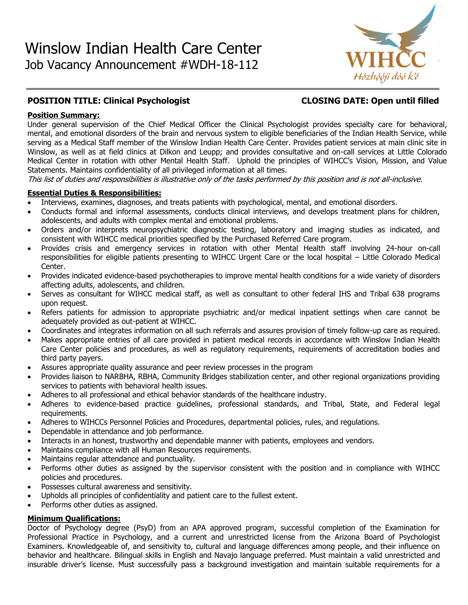

# **POSITION TITLE: Clinical Psychologist CLOSING DATE: Open until filled**

# **Position Summary:**

Under general supervision of the Chief Medical Officer the Clinical Psychologist provides specialty care for behavioral, mental, and emotional disorders of the brain and nervous system to eligible beneficiaries of the Indian Health Service, while serving as a Medical Staff member of the Winslow Indian Health Care Center. Provides patient services at main clinic site in Winslow, as well as at field clinics at Dilkon and Leupp; and provides consultative and on-call services at Little Colorado Medical Center in rotation with other Mental Health Staff. Uphold the principles of WIHCC's Vision, Mission, and Value Statements. Maintains confidentiality of all privileged information at all times.

This list of duties and responsibilities is illustrative only of the tasks performed by this position and is not all-inclusive.

# **Essential Duties & Responsibilities:**

- Interviews, examines, diagnoses, and treats patients with psychological, mental, and emotional disorders.
- Conducts formal and informal assessments, conducts clinical interviews, and develops treatment plans for children, adolescents, and adults with complex mental and emotional problems.
- Orders and/or interprets neuropsychiatric diagnostic testing, laboratory and imaging studies as indicated, and consistent with WIHCC medical priorities specified by the Purchased Referred Care program.
- Provides crisis and emergency services in rotation with other Mental Health staff involving 24-hour on-call responsibilities for eligible patients presenting to WIHCC Urgent Care or the local hospital – Little Colorado Medical Center.
- Provides indicated evidence-based psychotherapies to improve mental health conditions for a wide variety of disorders affecting adults, adolescents, and children.
- Serves as consultant for WIHCC medical staff, as well as consultant to other federal IHS and Tribal 638 programs upon request.
- Refers patients for admission to appropriate psychiatric and/or medical inpatient settings when care cannot be adequately provided as out-patient at WIHCC.
- Coordinates and integrates information on all such referrals and assures provision of timely follow-up care as required.
- Makes appropriate entries of all care provided in patient medical records in accordance with Winslow Indian Health Care Center policies and procedures, as well as regulatory requirements, requirements of accreditation bodies and third party payers.
- Assures appropriate quality assurance and peer review processes in the program
- Provides liaison to NARBHA, RBHA, Community Bridges stabilization center, and other regional organizations providing services to patients with behavioral health issues.
- Adheres to all professional and ethical behavior standards of the healthcare industry.
- Adheres to evidence-based practice guidelines, professional standards, and Tribal, State, and Federal legal requirements.
- Adheres to WIHCCs Personnel Policies and Procedures, departmental policies, rules, and regulations.
- Dependable in attendance and job performance.
- Interacts in an honest, trustworthy and dependable manner with patients, employees and vendors.
- Maintains compliance with all Human Resources requirements.
- Maintains regular attendance and punctuality.
- Performs other duties as assigned by the supervisor consistent with the position and in compliance with WIHCC policies and procedures.
- Possesses cultural awareness and sensitivity.
- Upholds all principles of confidentiality and patient care to the fullest extent.
- Performs other duties as assigned.

# **Minimum Qualifications:**

Doctor of Psychology degree (PsyD) from an APA approved program, successful completion of the Examination for Professional Practice in Psychology, and a current and unrestricted license from the Arizona Board of Psychologist Examiners. Knowledgeable of, and sensitivity to, cultural and language differences among people, and their influence on behavior and healthcare. Bilingual skills in English and Navajo language preferred. Must maintain a valid unrestricted and insurable driver's license. Must successfully pass a background investigation and maintain suitable requirements for a